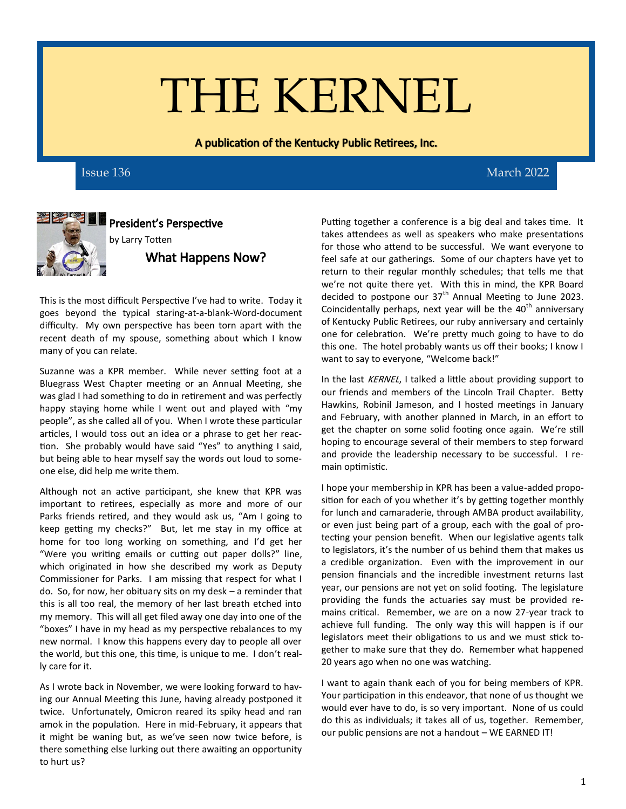# THE KERNEL

A publication of the Kentucky Public Retirees, Inc.



President's Perspective by Larry Totten What Happens Now?

This is the most difficult Perspective I've had to write. Today it goes beyond the typical staring-at-a-blank-Word-document difficulty. My own perspective has been torn apart with the recent death of my spouse, something about which I know many of you can relate.

Suzanne was a KPR member. While never setting foot at a Bluegrass West Chapter meeting or an Annual Meeting, she was glad I had something to do in retirement and was perfectly happy staying home while I went out and played with "my people", as she called all of you. When I wrote these particular articles, I would toss out an idea or a phrase to get her reaction. She probably would have said "Yes" to anything I said, but being able to hear myself say the words out loud to someone else, did help me write them.

Although not an active participant, she knew that KPR was important to retirees, especially as more and more of our Parks friends retired, and they would ask us, "Am I going to keep getting my checks?" But, let me stay in my office at home for too long working on something, and I'd get her "Were you writing emails or cutting out paper dolls?" line, which originated in how she described my work as Deputy Commissioner for Parks. I am missing that respect for what I do. So, for now, her obituary sits on my desk – a reminder that this is all too real, the memory of her last breath etched into my memory. This will all get filed away one day into one of the "boxes" I have in my head as my perspective rebalances to my new normal. I know this happens every day to people all over the world, but this one, this time, is unique to me. I don't really care for it.

As I wrote back in November, we were looking forward to having our Annual Meeting this June, having already postponed it twice. Unfortunately, Omicron reared its spiky head and ran amok in the population. Here in mid-February, it appears that it might be waning but, as we've seen now twice before, is there something else lurking out there awaiting an opportunity to hurt us?

Issue 136 March 2022

Putting together a conference is a big deal and takes time. It takes attendees as well as speakers who make presentations for those who attend to be successful. We want everyone to feel safe at our gatherings. Some of our chapters have yet to return to their regular monthly schedules; that tells me that we're not quite there yet. With this in mind, the KPR Board decided to postpone our  $37<sup>th</sup>$  Annual Meeting to June 2023. Coincidentally perhaps, next year will be the  $40<sup>th</sup>$  anniversary of Kentucky Public Retirees, our ruby anniversary and certainly one for celebration. We're pretty much going to have to do this one. The hotel probably wants us off their books; I know I want to say to everyone, "Welcome back!"

In the last KERNEL, I talked a little about providing support to our friends and members of the Lincoln Trail Chapter. Betty Hawkins, Robinil Jameson, and I hosted meetings in January and February, with another planned in March, in an effort to get the chapter on some solid footing once again. We're still hoping to encourage several of their members to step forward and provide the leadership necessary to be successful. I remain optimistic.

I hope your membership in KPR has been a value-added proposition for each of you whether it's by getting together monthly for lunch and camaraderie, through AMBA product availability, or even just being part of a group, each with the goal of protecting your pension benefit. When our legislative agents talk to legislators, it's the number of us behind them that makes us a credible organization. Even with the improvement in our pension financials and the incredible investment returns last year, our pensions are not yet on solid footing. The legislature providing the funds the actuaries say must be provided remains critical. Remember, we are on a now 27-year track to achieve full funding. The only way this will happen is if our legislators meet their obligations to us and we must stick together to make sure that they do. Remember what happened 20 years ago when no one was watching.

I want to again thank each of you for being members of KPR. Your participation in this endeavor, that none of us thought we would ever have to do, is so very important. None of us could do this as individuals; it takes all of us, together. Remember, our public pensions are not a handout – WE EARNED IT!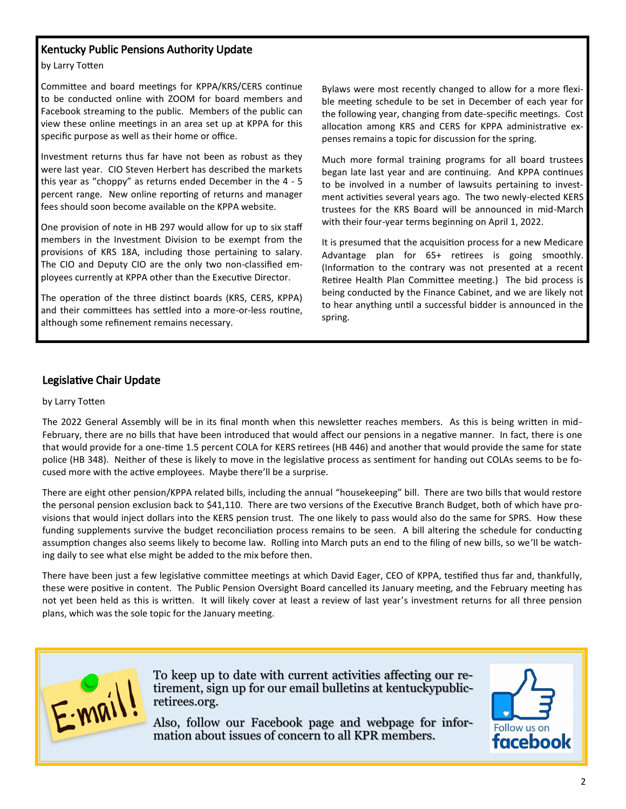### Kentucky Public Pensions Authority Update

by Larry Totten

 Committee and board meetings for KPPA/KRS/CERS continue to be conducted online with ZOOM for board members and Facebook streaming to the public. Members of the public can view these online meetings in an area set up at KPPA for this specific purpose as well as their home or office.

Investment returns thus far have not been as robust as they were last year. CIO Steven Herbert has described the markets this year as "choppy" as returns ended December in the 4 - 5 percent range. New online reporting of returns and manager fees should soon become available on the KPPA website.

One provision of note in HB 297 would allow for up to six staff members in the Investment Division to be exempt from the provisions of KRS 18A, including those pertaining to salary. The CIO and Deputy CIO are the only two non-classified employees currently at KPPA other than the Executive Director.

The operation of the three distinct boards (KRS, CERS, KPPA) and their committees has settled into a more-or-less routine, although some refinement remains necessary.

Bylaws were most recently changed to allow for a more flexible meeting schedule to be set in December of each year for the following year, changing from date-specific meetings. Cost allocation among KRS and CERS for KPPA administrative expenses remains a topic for discussion for the spring.

Much more formal training programs for all board trustees began late last year and are continuing. And KPPA continues to be involved in a number of lawsuits pertaining to investment activities several years ago. The two newly-elected KERS trustees for the KRS Board will be announced in mid-March with their four-year terms beginning on April 1, 2022.

It is presumed that the acquisition process for a new Medicare Advantage plan for 65+ retirees is going smoothly. (Information to the contrary was not presented at a recent Retiree Health Plan Committee meeting.) The bid process is being conducted by the Finance Cabinet, and we are likely not to hear anything until a successful bidder is announced in the spring.

#### Legislative Chair Update

#### by Larry Totten

The 2022 General Assembly will be in its final month when this newsletter reaches members. As this is being written in mid-February, there are no bills that have been introduced that would affect our pensions in a negative manner. In fact, there is one that would provide for a one-time 1.5 percent COLA for KERS retirees (HB 446) and another that would provide the same for state police (HB 348). Neither of these is likely to move in the legislative process as sentiment for handing out COLAs seems to be focused more with the active employees. Maybe there'll be a surprise.

There are eight other pension/KPPA related bills, including the annual "housekeeping" bill. There are two bills that would restore the personal pension exclusion back to \$41,110. There are two versions of the Executive Branch Budget, both of which have provisions that would inject dollars into the KERS pension trust. The one likely to pass would also do the same for SPRS. How these funding supplements survive the budget reconciliation process remains to be seen. A bill altering the schedule for conducting assumption changes also seems likely to become law. Rolling into March puts an end to the filing of new bills, so we'll be watching daily to see what else might be added to the mix before then.

There have been just a few legislative committee meetings at which David Eager, CEO of KPPA, testified thus far and, thankfully, these were positive in content. The Public Pension Oversight Board cancelled its January meeting, and the February meeting has not yet been held as this is written. It will likely cover at least a review of last year's investment returns for all three pension plans, which was the sole topic for the January meeting.



To keep up to date with current activities affecting our retirement, sign up for our email bulletins at kentuckypublicretirees.org.

Also, follow our Facebook page and webpage for information about issues of concern to all KPR members.

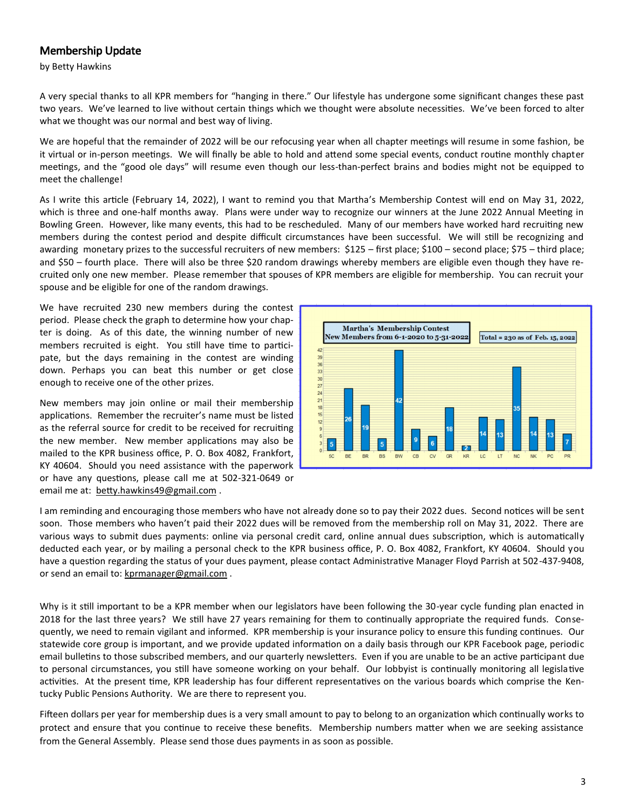## Membership Update

by Betty Hawkins

A very special thanks to all KPR members for "hanging in there." Our lifestyle has undergone some significant changes these past two years. We've learned to live without certain things which we thought were absolute necessities. We've been forced to alter what we thought was our normal and best way of living.

We are hopeful that the remainder of 2022 will be our refocusing year when all chapter meetings will resume in some fashion, be it virtual or in-person meetings. We will finally be able to hold and attend some special events, conduct routine monthly chapter meetings, and the "good ole days" will resume even though our less-than-perfect brains and bodies might not be equipped to meet the challenge!

As I write this article (February 14, 2022), I want to remind you that Martha's Membership Contest will end on May 31, 2022, which is three and one-half months away. Plans were under way to recognize our winners at the June 2022 Annual Meeting in Bowling Green. However, like many events, this had to be rescheduled. Many of our members have worked hard recruiting new members during the contest period and despite difficult circumstances have been successful. We will still be recognizing and awarding monetary prizes to the successful recruiters of new members: \$125 – first place; \$100 – second place; \$75 – third place; and \$50 – fourth place. There will also be three \$20 random drawings whereby members are eligible even though they have recruited only one new member. Please remember that spouses of KPR members are eligible for membership. You can recruit your spouse and be eligible for one of the random drawings.

We have recruited 230 new members during the contest period. Please check the graph to determine how your chapter is doing. As of this date, the winning number of new members recruited is eight. You still have time to participate, but the days remaining in the contest are winding down. Perhaps you can beat this number or get close enough to receive one of the other prizes.

New members may join online or mail their membership applications. Remember the recruiter's name must be listed as the referral source for credit to be received for recruiting the new member. New member applications may also be mailed to the KPR business office, P. O. Box 4082, Frankfort, KY 40604. Should you need assistance with the paperwork or have any questions, please call me at 502-321-0649 or email me at: [betty.hawkins49@gmail.com](mailto:betty.hawkins49@gmail.com) .



I am reminding and encouraging those members who have not already done so to pay their 2022 dues. Second notices will be sent soon. Those members who haven't paid their 2022 dues will be removed from the membership roll on May 31, 2022. There are various ways to submit dues payments: online via personal credit card, online annual dues subscription, which is automatically deducted each year, or by mailing a personal check to the KPR business office, P. O. Box 4082, Frankfort, KY 40604. Should you have a question regarding the status of your dues payment, please contact Administrative Manager Floyd Parrish at 502-437-9408, or send an email to: [kprmanager@gmail.com](mailto:kprmanager@gmail.com).

Why is it still important to be a KPR member when our legislators have been following the 30-year cycle funding plan enacted in 2018 for the last three years? We still have 27 years remaining for them to continually appropriate the required funds. Consequently, we need to remain vigilant and informed. KPR membership is your insurance policy to ensure this funding continues. Our statewide core group is important, and we provide updated information on a daily basis through our KPR Facebook page, periodic email bulletins to those subscribed members, and our quarterly newsletters. Even if you are unable to be an active participant due to personal circumstances, you still have someone working on your behalf. Our lobbyist is continually monitoring all legislative activities. At the present time, KPR leadership has four different representatives on the various boards which comprise the Kentucky Public Pensions Authority. We are there to represent you.

Fifteen dollars per year for membership dues is a very small amount to pay to belong to an organization which continually works to protect and ensure that you continue to receive these benefits. Membership numbers matter when we are seeking assistance from the General Assembly. Please send those dues payments in as soon as possible.